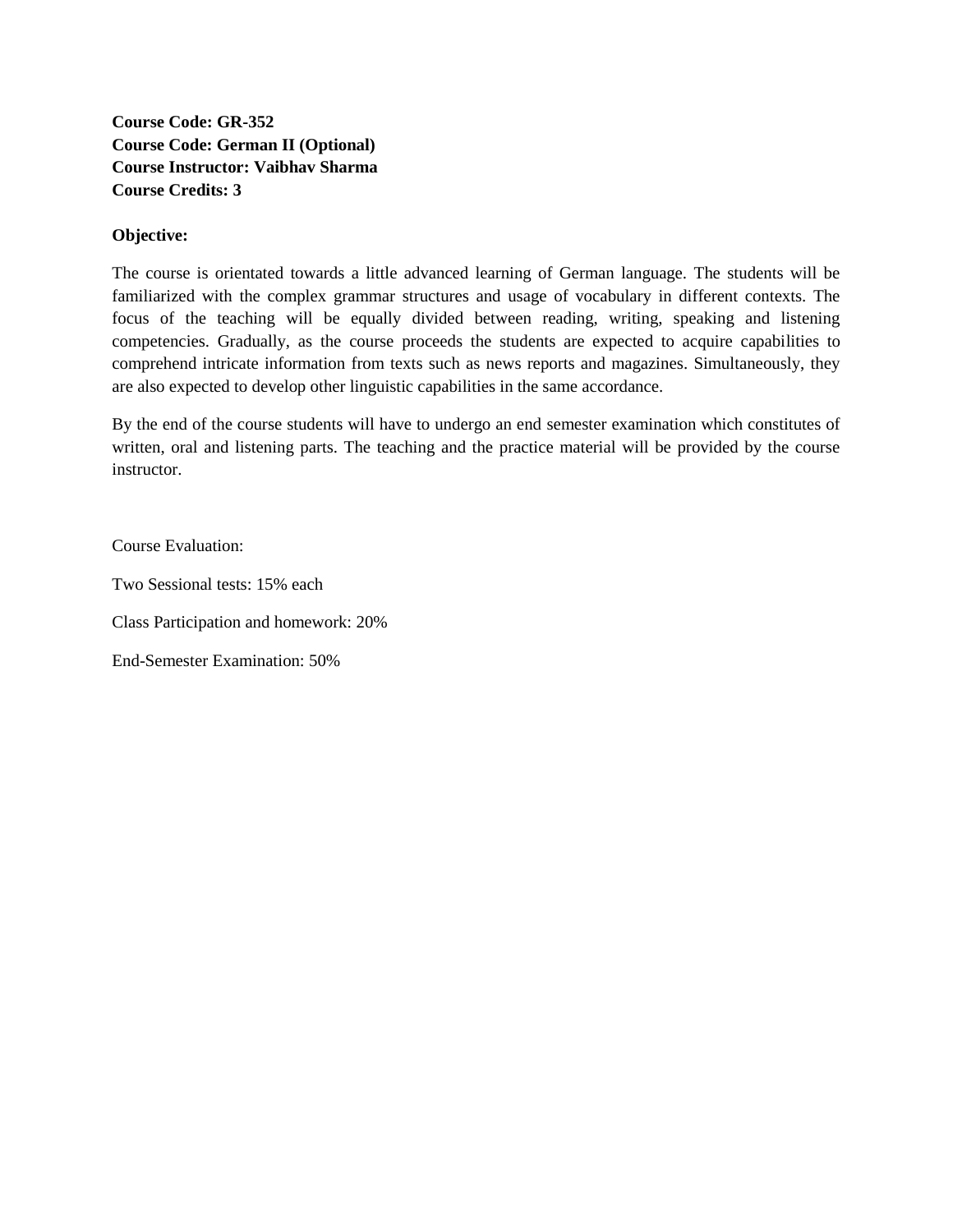**Course Code: GR-352 Course Code: German II (Optional) Course Instructor: Vaibhav Sharma Course Credits: 3**

#### **Objective:**

The course is orientated towards a little advanced learning of German language. The students will be familiarized with the complex grammar structures and usage of vocabulary in different contexts. The focus of the teaching will be equally divided between reading, writing, speaking and listening competencies. Gradually, as the course proceeds the students are expected to acquire capabilities to comprehend intricate information from texts such as news reports and magazines. Simultaneously, they are also expected to develop other linguistic capabilities in the same accordance.

By the end of the course students will have to undergo an end semester examination which constitutes of written, oral and listening parts. The teaching and the practice material will be provided by the course instructor.

Course Evaluation:

Two Sessional tests: 15% each

Class Participation and homework: 20%

End-Semester Examination: 50%